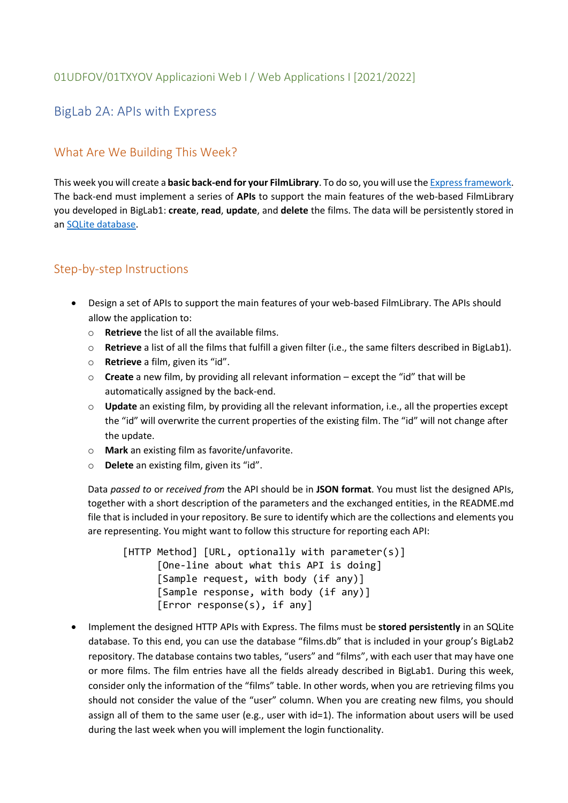## BigLab 2A: APIs with Express

## What Are We Building This Week?

This week you will create a **basic back-end for your FilmLibrary**. To do so, you will use the [Express framework.](https://expressjs.com/) The back-end must implement a series of **APIs** to support the main features of the web-based FilmLibrary you developed in BigLab1: **create**, **read**, **update**, and **delete** the films. The data will be persistently stored in an [SQLite database.](https://www.sqlite.org/)

## Step-by-step Instructions

- Design a set of APIs to support the main features of your web-based FilmLibrary. The APIs should allow the application to:
	- o **Retrieve** the list of all the available films.
	- o **Retrieve** a list of all the films that fulfill a given filter (i.e., the same filters described in BigLab1).
	- o **Retrieve** a film, given its "id".
	- o **Create** a new film, by providing all relevant information except the "id" that will be automatically assigned by the back-end.
	- o **Update** an existing film, by providing all the relevant information, i.e., all the properties except the "id" will overwrite the current properties of the existing film. The "id" will not change after the update.
	- o **Mark** an existing film as favorite/unfavorite.
	- o **Delete** an existing film, given its "id".

Data *passed to* or *received from* the API should be in **JSON format**. You must list the designed APIs, together with a short description of the parameters and the exchanged entities, in the README.md file that is included in your repository. Be sure to identify which are the collections and elements you are representing. You might want to follow this structure for reporting each API:

[HTTP Method] [URL, optionally with parameter(s)] [One-line about what this API is doing] [Sample request, with body (if any)] [Sample response, with body (if any)] [Error response(s), if any]

• Implement the designed HTTP APIs with Express. The films must be **stored persistently** in an SQLite database. To this end, you can use the database "films.db" that is included in your group's BigLab2 repository. The database contains two tables, "users" and "films", with each user that may have one or more films. The film entries have all the fields already described in BigLab1. During this week, consider only the information of the "films" table. In other words, when you are retrieving films you should not consider the value of the "user" column. When you are creating new films, you should assign all of them to the same user (e.g., user with id=1). The information about users will be used during the last week when you will implement the login functionality.